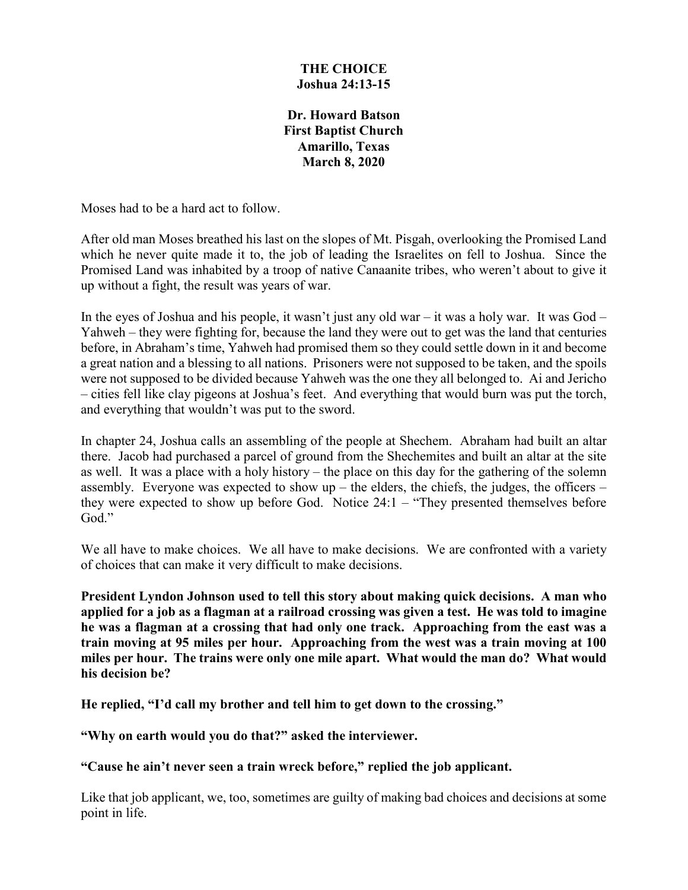#### **THE CHOICE Joshua 24:13-15**

**Dr. Howard Batson First Baptist Church Amarillo, Texas March 8, 2020**

Moses had to be a hard act to follow.

After old man Moses breathed his last on the slopes of Mt. Pisgah, overlooking the Promised Land which he never quite made it to, the job of leading the Israelites on fell to Joshua. Since the Promised Land was inhabited by a troop of native Canaanite tribes, who weren't about to give it up without a fight, the result was years of war.

In the eyes of Joshua and his people, it wasn't just any old war – it was a holy war. It was  $God -$ Yahweh – they were fighting for, because the land they were out to get was the land that centuries before, in Abraham's time, Yahweh had promised them so they could settle down in it and become a great nation and a blessing to all nations. Prisoners were not supposed to be taken, and the spoils were not supposed to be divided because Yahweh was the one they all belonged to. Ai and Jericho – cities fell like clay pigeons at Joshua's feet. And everything that would burn was put the torch, and everything that wouldn't was put to the sword.

In chapter 24, Joshua calls an assembling of the people at Shechem. Abraham had built an altar there. Jacob had purchased a parcel of ground from the Shechemites and built an altar at the site as well. It was a place with a holy history – the place on this day for the gathering of the solemn assembly. Everyone was expected to show  $up$  – the elders, the chiefs, the judges, the officers – they were expected to show up before God. Notice 24:1 – "They presented themselves before God."

We all have to make choices. We all have to make decisions. We are confronted with a variety of choices that can make it very difficult to make decisions.

**President Lyndon Johnson used to tell this story about making quick decisions. A man who applied for a job as a flagman at a railroad crossing was given a test. He was told to imagine he was a flagman at a crossing that had only one track. Approaching from the east was a train moving at 95 miles per hour. Approaching from the west was a train moving at 100 miles per hour. The trains were only one mile apart. What would the man do? What would his decision be?**

**He replied, "I'd call my brother and tell him to get down to the crossing."**

**"Why on earth would you do that?" asked the interviewer.**

**"Cause he ain't never seen a train wreck before," replied the job applicant.**

Like that job applicant, we, too, sometimes are guilty of making bad choices and decisions at some point in life.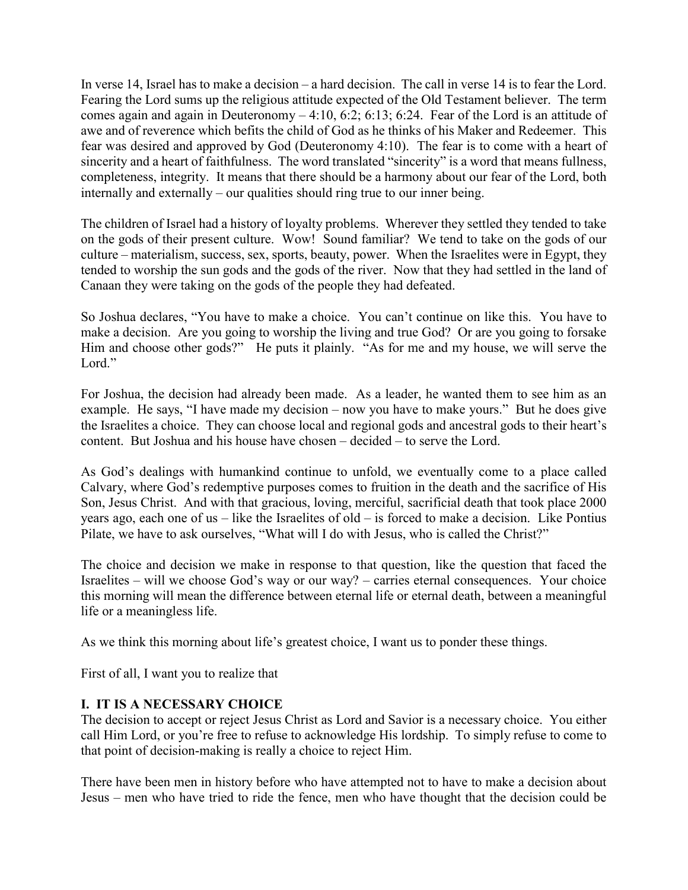In verse 14, Israel has to make a decision – a hard decision. The call in verse 14 is to fear the Lord. Fearing the Lord sums up the religious attitude expected of the Old Testament believer. The term comes again and again in Deuteronomy – 4:10, 6:2; 6:13; 6:24. Fear of the Lord is an attitude of awe and of reverence which befits the child of God as he thinks of his Maker and Redeemer. This fear was desired and approved by God (Deuteronomy 4:10). The fear is to come with a heart of sincerity and a heart of faithfulness. The word translated "sincerity" is a word that means fullness, completeness, integrity. It means that there should be a harmony about our fear of the Lord, both internally and externally – our qualities should ring true to our inner being.

The children of Israel had a history of loyalty problems. Wherever they settled they tended to take on the gods of their present culture. Wow! Sound familiar? We tend to take on the gods of our culture – materialism, success, sex, sports, beauty, power. When the Israelites were in Egypt, they tended to worship the sun gods and the gods of the river. Now that they had settled in the land of Canaan they were taking on the gods of the people they had defeated.

So Joshua declares, "You have to make a choice. You can't continue on like this. You have to make a decision. Are you going to worship the living and true God? Or are you going to forsake Him and choose other gods?" He puts it plainly. "As for me and my house, we will serve the Lord."

For Joshua, the decision had already been made. As a leader, he wanted them to see him as an example. He says, "I have made my decision – now you have to make yours." But he does give the Israelites a choice. They can choose local and regional gods and ancestral gods to their heart's content. But Joshua and his house have chosen – decided – to serve the Lord.

As God's dealings with humankind continue to unfold, we eventually come to a place called Calvary, where God's redemptive purposes comes to fruition in the death and the sacrifice of His Son, Jesus Christ. And with that gracious, loving, merciful, sacrificial death that took place 2000 years ago, each one of us – like the Israelites of old – is forced to make a decision. Like Pontius Pilate, we have to ask ourselves, "What will I do with Jesus, who is called the Christ?"

The choice and decision we make in response to that question, like the question that faced the Israelites – will we choose God's way or our way? – carries eternal consequences. Your choice this morning will mean the difference between eternal life or eternal death, between a meaningful life or a meaningless life.

As we think this morning about life's greatest choice, I want us to ponder these things.

First of all, I want you to realize that

# **I. IT IS A NECESSARY CHOICE**

The decision to accept or reject Jesus Christ as Lord and Savior is a necessary choice. You either call Him Lord, or you're free to refuse to acknowledge His lordship. To simply refuse to come to that point of decision-making is really a choice to reject Him.

There have been men in history before who have attempted not to have to make a decision about Jesus – men who have tried to ride the fence, men who have thought that the decision could be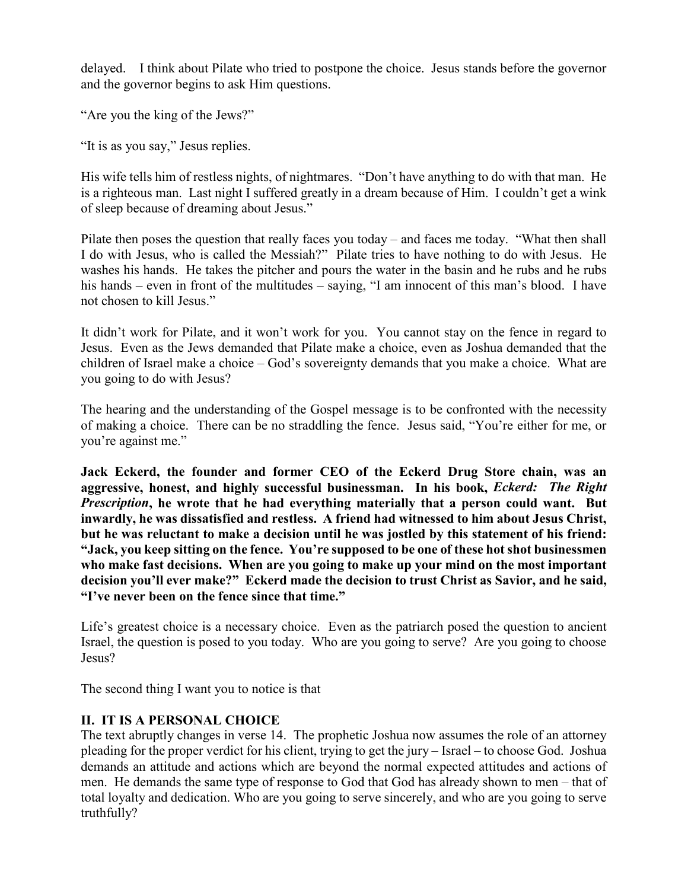delayed. I think about Pilate who tried to postpone the choice. Jesus stands before the governor and the governor begins to ask Him questions.

"Are you the king of the Jews?"

"It is as you say," Jesus replies.

His wife tells him of restless nights, of nightmares. "Don't have anything to do with that man. He is a righteous man. Last night I suffered greatly in a dream because of Him. I couldn't get a wink of sleep because of dreaming about Jesus."

Pilate then poses the question that really faces you today – and faces me today. "What then shall I do with Jesus, who is called the Messiah?" Pilate tries to have nothing to do with Jesus. He washes his hands. He takes the pitcher and pours the water in the basin and he rubs and he rubs his hands – even in front of the multitudes – saying, "I am innocent of this man's blood. I have not chosen to kill Jesus."

It didn't work for Pilate, and it won't work for you. You cannot stay on the fence in regard to Jesus. Even as the Jews demanded that Pilate make a choice, even as Joshua demanded that the children of Israel make a choice – God's sovereignty demands that you make a choice. What are you going to do with Jesus?

The hearing and the understanding of the Gospel message is to be confronted with the necessity of making a choice. There can be no straddling the fence. Jesus said, "You're either for me, or you're against me."

**Jack Eckerd, the founder and former CEO of the Eckerd Drug Store chain, was an aggressive, honest, and highly successful businessman. In his book,** *Eckerd: The Right Prescription***, he wrote that he had everything materially that a person could want. But inwardly, he was dissatisfied and restless. A friend had witnessed to him about Jesus Christ, but he was reluctant to make a decision until he was jostled by this statement of his friend: "Jack, you keep sitting on the fence. You're supposed to be one of these hot shot businessmen who make fast decisions. When are you going to make up your mind on the most important decision you'll ever make?" Eckerd made the decision to trust Christ as Savior, and he said, "I've never been on the fence since that time."**

Life's greatest choice is a necessary choice. Even as the patriarch posed the question to ancient Israel, the question is posed to you today. Who are you going to serve? Are you going to choose Jesus?

The second thing I want you to notice is that

### **II. IT IS A PERSONAL CHOICE**

The text abruptly changes in verse 14. The prophetic Joshua now assumes the role of an attorney pleading for the proper verdict for his client, trying to get the jury – Israel – to choose God. Joshua demands an attitude and actions which are beyond the normal expected attitudes and actions of men. He demands the same type of response to God that God has already shown to men – that of total loyalty and dedication. Who are you going to serve sincerely, and who are you going to serve truthfully?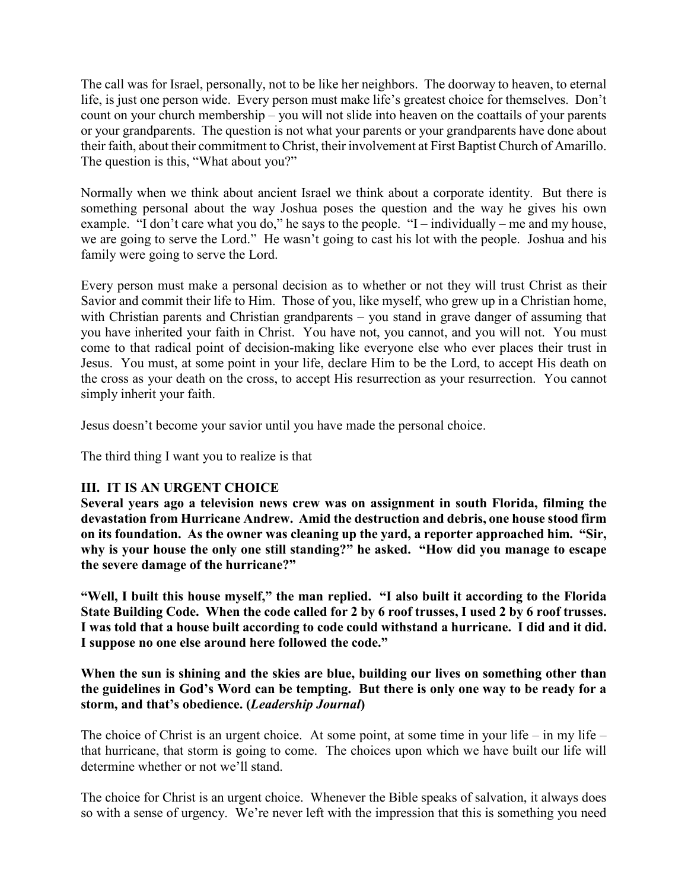The call was for Israel, personally, not to be like her neighbors. The doorway to heaven, to eternal life, is just one person wide. Every person must make life's greatest choice for themselves. Don't count on your church membership – you will not slide into heaven on the coattails of your parents or your grandparents. The question is not what your parents or your grandparents have done about their faith, about their commitment to Christ, their involvement at First Baptist Church of Amarillo. The question is this, "What about you?"

Normally when we think about ancient Israel we think about a corporate identity. But there is something personal about the way Joshua poses the question and the way he gives his own example. "I don't care what you do," he says to the people. "I – individually – me and my house, we are going to serve the Lord." He wasn't going to cast his lot with the people. Joshua and his family were going to serve the Lord.

Every person must make a personal decision as to whether or not they will trust Christ as their Savior and commit their life to Him. Those of you, like myself, who grew up in a Christian home, with Christian parents and Christian grandparents – you stand in grave danger of assuming that you have inherited your faith in Christ. You have not, you cannot, and you will not. You must come to that radical point of decision-making like everyone else who ever places their trust in Jesus. You must, at some point in your life, declare Him to be the Lord, to accept His death on the cross as your death on the cross, to accept His resurrection as your resurrection. You cannot simply inherit your faith.

Jesus doesn't become your savior until you have made the personal choice.

The third thing I want you to realize is that

### **III. IT IS AN URGENT CHOICE**

**Several years ago a television news crew was on assignment in south Florida, filming the devastation from Hurricane Andrew. Amid the destruction and debris, one house stood firm on its foundation. As the owner was cleaning up the yard, a reporter approached him. "Sir, why is your house the only one still standing?" he asked. "How did you manage to escape the severe damage of the hurricane?"**

**"Well, I built this house myself," the man replied. "I also built it according to the Florida State Building Code. When the code called for 2 by 6 roof trusses, I used 2 by 6 roof trusses. I was told that a house built according to code could withstand a hurricane. I did and it did. I suppose no one else around here followed the code."**

#### **When the sun is shining and the skies are blue, building our lives on something other than the guidelines in God's Word can be tempting. But there is only one way to be ready for a storm, and that's obedience. (***Leadership Journal***)**

The choice of Christ is an urgent choice. At some point, at some time in your life – in my life – that hurricane, that storm is going to come. The choices upon which we have built our life will determine whether or not we'll stand.

The choice for Christ is an urgent choice. Whenever the Bible speaks of salvation, it always does so with a sense of urgency. We're never left with the impression that this is something you need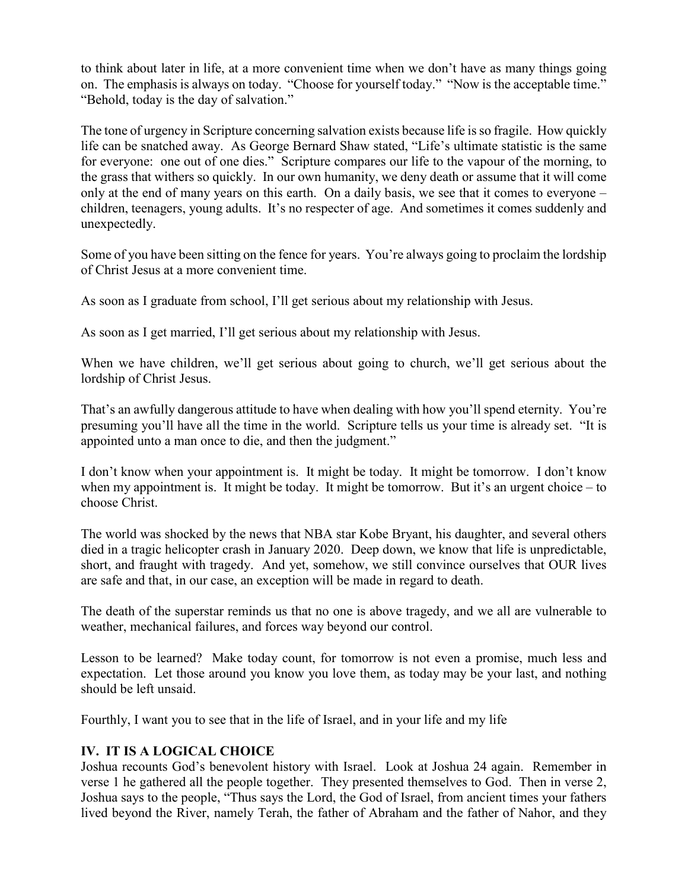to think about later in life, at a more convenient time when we don't have as many things going on. The emphasis is always on today. "Choose for yourself today." "Now is the acceptable time." "Behold, today is the day of salvation."

The tone of urgency in Scripture concerning salvation exists because life is so fragile. How quickly life can be snatched away. As George Bernard Shaw stated, "Life's ultimate statistic is the same for everyone: one out of one dies." Scripture compares our life to the vapour of the morning, to the grass that withers so quickly. In our own humanity, we deny death or assume that it will come only at the end of many years on this earth. On a daily basis, we see that it comes to everyone – children, teenagers, young adults. It's no respecter of age. And sometimes it comes suddenly and unexpectedly.

Some of you have been sitting on the fence for years. You're always going to proclaim the lordship of Christ Jesus at a more convenient time.

As soon as I graduate from school, I'll get serious about my relationship with Jesus.

As soon as I get married, I'll get serious about my relationship with Jesus.

When we have children, we'll get serious about going to church, we'll get serious about the lordship of Christ Jesus.

That's an awfully dangerous attitude to have when dealing with how you'll spend eternity. You're presuming you'll have all the time in the world. Scripture tells us your time is already set. "It is appointed unto a man once to die, and then the judgment."

I don't know when your appointment is. It might be today. It might be tomorrow. I don't know when my appointment is. It might be today. It might be tomorrow. But it's an urgent choice – to choose Christ.

The world was shocked by the news that NBA star Kobe Bryant, his daughter, and several others died in a tragic helicopter crash in January 2020. Deep down, we know that life is unpredictable, short, and fraught with tragedy. And yet, somehow, we still convince ourselves that OUR lives are safe and that, in our case, an exception will be made in regard to death.

The death of the superstar reminds us that no one is above tragedy, and we all are vulnerable to weather, mechanical failures, and forces way beyond our control.

Lesson to be learned? Make today count, for tomorrow is not even a promise, much less and expectation. Let those around you know you love them, as today may be your last, and nothing should be left unsaid.

Fourthly, I want you to see that in the life of Israel, and in your life and my life

### **IV. IT IS A LOGICAL CHOICE**

Joshua recounts God's benevolent history with Israel. Look at Joshua 24 again. Remember in verse 1 he gathered all the people together. They presented themselves to God. Then in verse 2, Joshua says to the people, "Thus says the Lord, the God of Israel, from ancient times your fathers lived beyond the River, namely Terah, the father of Abraham and the father of Nahor, and they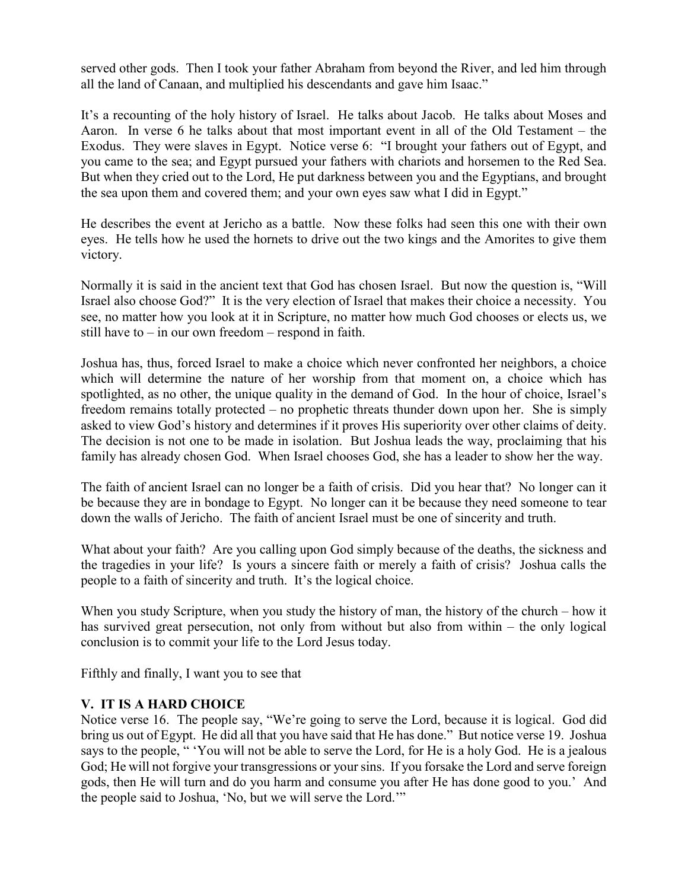served other gods. Then I took your father Abraham from beyond the River, and led him through all the land of Canaan, and multiplied his descendants and gave him Isaac."

It's a recounting of the holy history of Israel. He talks about Jacob. He talks about Moses and Aaron. In verse 6 he talks about that most important event in all of the Old Testament – the Exodus. They were slaves in Egypt. Notice verse 6: "I brought your fathers out of Egypt, and you came to the sea; and Egypt pursued your fathers with chariots and horsemen to the Red Sea. But when they cried out to the Lord, He put darkness between you and the Egyptians, and brought the sea upon them and covered them; and your own eyes saw what I did in Egypt."

He describes the event at Jericho as a battle. Now these folks had seen this one with their own eyes. He tells how he used the hornets to drive out the two kings and the Amorites to give them victory.

Normally it is said in the ancient text that God has chosen Israel. But now the question is, "Will Israel also choose God?" It is the very election of Israel that makes their choice a necessity. You see, no matter how you look at it in Scripture, no matter how much God chooses or elects us, we still have to  $-$  in our own freedom  $-$  respond in faith.

Joshua has, thus, forced Israel to make a choice which never confronted her neighbors, a choice which will determine the nature of her worship from that moment on, a choice which has spotlighted, as no other, the unique quality in the demand of God. In the hour of choice, Israel's freedom remains totally protected – no prophetic threats thunder down upon her. She is simply asked to view God's history and determines if it proves His superiority over other claims of deity. The decision is not one to be made in isolation. But Joshua leads the way, proclaiming that his family has already chosen God. When Israel chooses God, she has a leader to show her the way.

The faith of ancient Israel can no longer be a faith of crisis. Did you hear that? No longer can it be because they are in bondage to Egypt. No longer can it be because they need someone to tear down the walls of Jericho. The faith of ancient Israel must be one of sincerity and truth.

What about your faith? Are you calling upon God simply because of the deaths, the sickness and the tragedies in your life? Is yours a sincere faith or merely a faith of crisis? Joshua calls the people to a faith of sincerity and truth. It's the logical choice.

When you study Scripture, when you study the history of man, the history of the church – how it has survived great persecution, not only from without but also from within – the only logical conclusion is to commit your life to the Lord Jesus today.

Fifthly and finally, I want you to see that

# **V. IT IS A HARD CHOICE**

Notice verse 16. The people say, "We're going to serve the Lord, because it is logical. God did bring us out of Egypt. He did all that you have said that He has done." But notice verse 19. Joshua says to the people, " 'You will not be able to serve the Lord, for He is a holy God. He is a jealous God; He will not forgive your transgressions or your sins. If you forsake the Lord and serve foreign gods, then He will turn and do you harm and consume you after He has done good to you.' And the people said to Joshua, 'No, but we will serve the Lord.'"